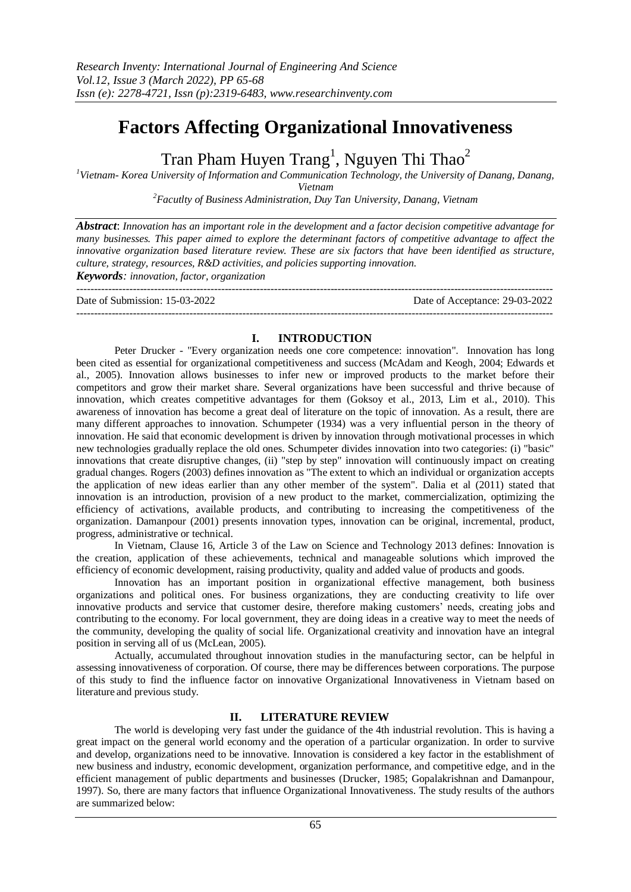# **Factors Affecting Organizational Innovativeness**

Tran Pham Huyen Trang<sup>1</sup>, Nguyen Thi Thao<sup>2</sup>

*<sup>1</sup>Vietnam- Korea University of Information and Communication Technology, the University of Danang, Danang, Vietnam*

*<sup>2</sup>Facutlty of Business Administration, Duy Tan University, Danang, Vietnam*

*Abstract*: *Innovation has an important role in the development and a factor decision competitive advantage for many businesses. This paper aimed to explore the determinant factors of competitive advantage to affect the innovative organization based literature review. These are six factors that have been identified as structure, culture, strategy, resources, R&D activities, and policies supporting innovation.*

*Keywords: innovation, factor, organization*

--------------------------------------------------------------------------------------------------------------------------------------- Date of Submission: 15-03-2022 Date of Acceptance: 29-03-2022 ---------------------------------------------------------------------------------------------------------------------------------------

# **I. INTRODUCTION**

Peter Drucker - "Every organization needs one core competence: innovation". Innovation has long been cited as essential for organizational competitiveness and success (McAdam and Keogh, 2004; Edwards et al., 2005). Innovation allows businesses to infer new or improved products to the market before their competitors and grow their market share. Several organizations have been successful and thrive because of innovation, which creates competitive advantages for them (Goksoy et al., 2013, Lim et al., 2010). This awareness of innovation has become a great deal of literature on the topic of innovation. As a result, there are many different approaches to innovation. Schumpeter (1934) was a very influential person in the theory of innovation. He said that economic development is driven by innovation through motivational processes in which new technologies gradually replace the old ones. Schumpeter divides innovation into two categories: (i) "basic" innovations that create disruptive changes, (ii) "step by step" innovation will continuously impact on creating gradual changes. Rogers (2003) defines innovation as "The extent to which an individual or organization accepts the application of new ideas earlier than any other member of the system". Dalia et al (2011) stated that innovation is an introduction, provision of a new product to the market, commercialization, optimizing the efficiency of activations, available products, and contributing to increasing the competitiveness of the organization. Damanpour (2001) presents innovation types, innovation can be original, incremental, product, progress, administrative or technical.

In Vietnam, Clause 16, Article 3 of the Law on Science and Technology 2013 defines: Innovation is the creation, application of these achievements, technical and manageable solutions which improved the efficiency of economic development, raising productivity, quality and added value of products and goods.

Innovation has an important position in organizational effective management, both business organizations and political ones. For business organizations, they are conducting creativity to life over innovative products and service that customer desire, therefore making customers' needs, creating jobs and contributing to the economy. For local government, they are doing ideas in a creative way to meet the needs of the community, developing the quality of social life. Organizational creativity and innovation have an integral position in serving all of us (McLean, 2005).

Actually, accumulated throughout innovation studies in the manufacturing sector, can be helpful in assessing innovativeness of corporation. Of course, there may be differences between corporations. The purpose of this study to find the influence factor on innovative Organizational Innovativeness in Vietnam based on literature and previous study.

# **II. LITERATURE REVIEW**

The world is developing very fast under the guidance of the 4th industrial revolution. This is having a great impact on the general world economy and the operation of a particular organization. In order to survive and develop, organizations need to be innovative. Innovation is considered a key factor in the establishment of new business and industry, economic development, organization performance, and competitive edge, and in the efficient management of public departments and businesses (Drucker, 1985; Gopalakrishnan and Damanpour, 1997). So, there are many factors that influence Organizational Innovativeness. The study results of the authors are summarized below: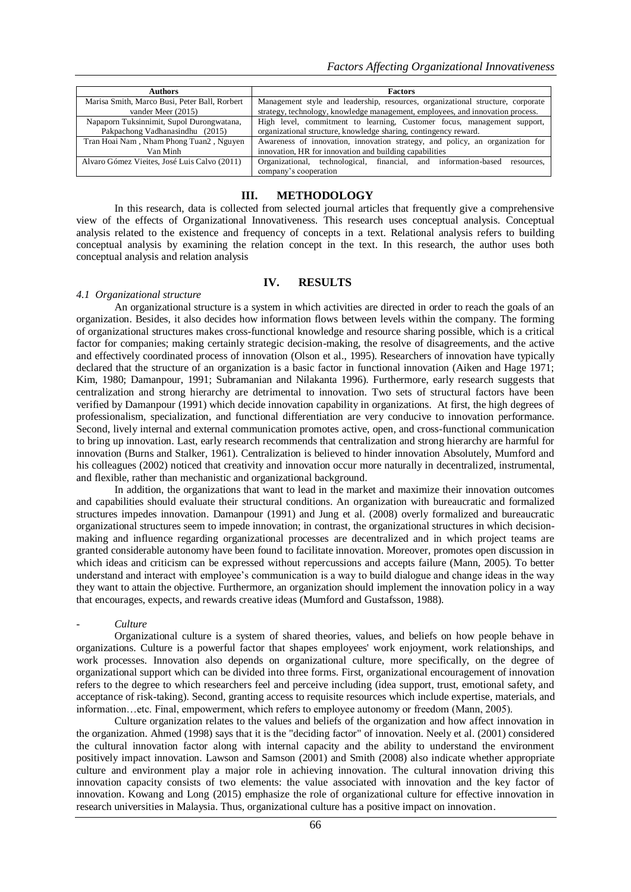| <b>Authors</b>                                | <b>Factors</b>                                                                  |
|-----------------------------------------------|---------------------------------------------------------------------------------|
| Marisa Smith, Marco Busi, Peter Ball, Rorbert | Management style and leadership, resources, organizational structure, corporate |
| vander Meer (2015)                            | strategy, technology, knowledge management, employees, and innovation process.  |
| Napaporn Tuksinnimit, Supol Durongwatana,     | High level, commitment to learning, Customer focus, management support,         |
| Pakpachong Vadhanasindhu (2015)               | organizational structure, knowledge sharing, contingency reward.                |
| Tran Hoai Nam, Nham Phong Tuan2, Nguyen       | Awareness of innovation, innovation strategy, and policy, an organization for   |
| Van Minh                                      | innovation, HR for innovation and building capabilities                         |
| Alvaro Gómez Vieites, José Luis Calvo (2011)  | Organizational, technological, financial, and information-based<br>resources.   |
|                                               | company's cooperation                                                           |

#### **III. METHODOLOGY**

In this research, data is collected from selected journal articles that frequently give a comprehensive view of the effects of Organizational Innovativeness. This research uses conceptual analysis. Conceptual analysis related to the existence and frequency of concepts in a text. Relational analysis refers to building conceptual analysis by examining the relation concept in the text. In this research, the author uses both conceptual analysis and relation analysis

#### **IV. RESULTS**

## *4.1 Organizational structure*

An organizational structure is a system in which activities are directed in order to reach the goals of an organization. Besides, it also decides how information flows between levels within the company. The forming of organizational structures makes cross-functional knowledge and resource sharing possible, which is a critical factor for companies; making certainly strategic decision-making, the resolve of disagreements, and the active and effectively coordinated process of innovation (Olson et al., 1995). Researchers of innovation have typically declared that the structure of an organization is a basic factor in functional innovation (Aiken and Hage 1971; Kim, 1980; Damanpour, 1991; Subramanian and Nilakanta 1996). Furthermore, early research suggests that centralization and strong hierarchy are detrimental to innovation. Two sets of structural factors have been verified by Damanpour (1991) which decide innovation capability in organizations. At first, the high degrees of professionalism, specialization, and functional differentiation are very conducive to innovation performance. Second, lively internal and external communication promotes active, open, and cross-functional communication to bring up innovation. Last, early research recommends that centralization and strong hierarchy are harmful for innovation (Burns and Stalker, 1961). Centralization is believed to hinder innovation Absolutely, Mumford and his colleagues (2002) noticed that creativity and innovation occur more naturally in decentralized, instrumental, and flexible, rather than mechanistic and organizational background.

In addition, the organizations that want to lead in the market and maximize their innovation outcomes and capabilities should evaluate their structural conditions. An organization with bureaucratic and formalized structures impedes innovation. Damanpour (1991) and Jung et al. (2008) overly formalized and bureaucratic organizational structures seem to impede innovation; in contrast, the organizational structures in which decisionmaking and influence regarding organizational processes are decentralized and in which project teams are granted considerable autonomy have been found to facilitate innovation. Moreover, promotes open discussion in which ideas and criticism can be expressed without repercussions and accepts failure (Mann, 2005). To better understand and interact with employee's communication is a way to build dialogue and change ideas in the way they want to attain the objective. Furthermore, an organization should implement the innovation policy in a way that encourages, expects, and rewards creative ideas (Mumford and Gustafsson, 1988).

#### - *Culture*

Organizational culture is a system of shared theories, values, and beliefs on how people behave in organizations. Culture is a powerful factor that shapes employees' work enjoyment, work relationships, and work processes. Innovation also depends on organizational culture, more specifically, on the degree of organizational support which can be divided into three forms. First, organizational encouragement of innovation refers to the degree to which researchers feel and perceive including (idea support, trust, emotional safety, and acceptance of risk-taking). Second, granting access to requisite resources which include expertise, materials, and information…etc. Final, empowerment, which refers to employee autonomy or freedom (Mann, 2005).

Culture organization relates to the values and beliefs of the organization and how affect innovation in the organization. Ahmed (1998) says that it is the "deciding factor" of innovation. Neely et al. (2001) considered the cultural innovation factor along with internal capacity and the ability to understand the environment positively impact innovation. Lawson and Samson (2001) and Smith (2008) also indicate whether appropriate culture and environment play a major role in achieving innovation. The cultural innovation driving this innovation capacity consists of two elements: the value associated with innovation and the key factor of innovation. Kowang and Long (2015) emphasize the role of organizational culture for effective innovation in research universities in Malaysia. Thus, organizational culture has a positive impact on innovation.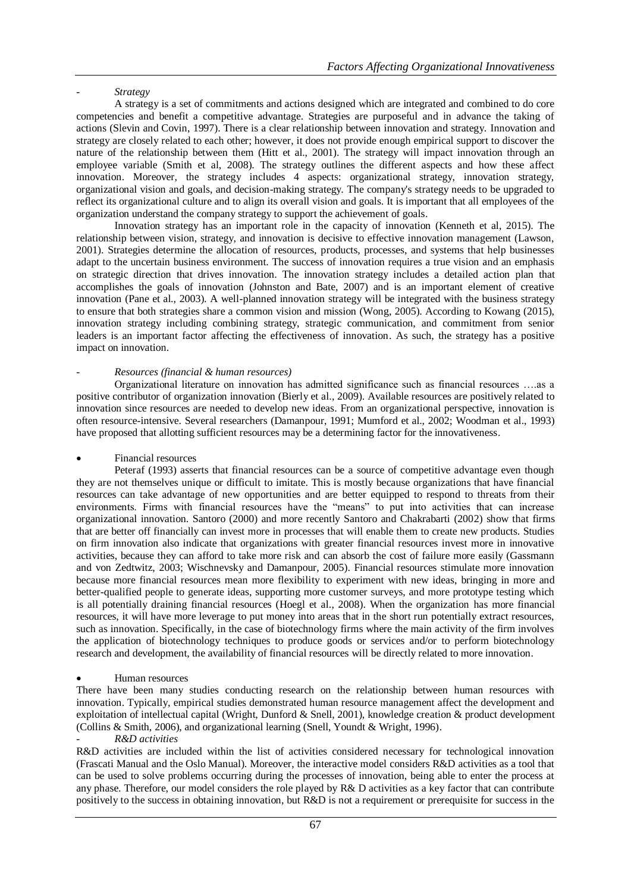- *Strategy*

A strategy is a set of commitments and actions designed which are integrated and combined to do core competencies and benefit a competitive advantage. Strategies are purposeful and in advance the taking of actions (Slevin and Covin, 1997). There is a clear relationship between innovation and strategy. Innovation and strategy are closely related to each other; however, it does not provide enough empirical support to discover the nature of the relationship between them (Hitt et al., 2001). The strategy will impact innovation through an employee variable (Smith et al, 2008). The strategy outlines the different aspects and how these affect innovation. Moreover, the strategy includes 4 aspects: organizational strategy, innovation strategy, organizational vision and goals, and decision-making strategy. The company's strategy needs to be upgraded to reflect its organizational culture and to align its overall vision and goals. It is important that all employees of the organization understand the company strategy to support the achievement of goals.

Innovation strategy has an important role in the capacity of innovation (Kenneth et al, 2015). The relationship between vision, strategy, and innovation is decisive to effective innovation management (Lawson, 2001). Strategies determine the allocation of resources, products, processes, and systems that help businesses adapt to the uncertain business environment. The success of innovation requires a true vision and an emphasis on strategic direction that drives innovation. The innovation strategy includes a detailed action plan that accomplishes the goals of innovation (Johnston and Bate, 2007) and is an important element of creative innovation (Pane et al., 2003). A well-planned innovation strategy will be integrated with the business strategy to ensure that both strategies share a common vision and mission (Wong, 2005). According to Kowang (2015), innovation strategy including combining strategy, strategic communication, and commitment from senior leaders is an important factor affecting the effectiveness of innovation. As such, the strategy has a positive impact on innovation.

# - *Resources (financial & human resources)*

Organizational literature on innovation has admitted significance such as financial resources ….as a positive contributor of organization innovation (Bierly et al., 2009). Available resources are positively related to innovation since resources are needed to develop new ideas. From an organizational perspective, innovation is often resource-intensive. Several researchers (Damanpour, 1991; Mumford et al., 2002; Woodman et al., 1993) have proposed that allotting sufficient resources may be a determining factor for the innovativeness.

# Financial resources

Peteraf (1993) asserts that financial resources can be a source of competitive advantage even though they are not themselves unique or difficult to imitate. This is mostly because organizations that have financial resources can take advantage of new opportunities and are better equipped to respond to threats from their environments. Firms with financial resources have the "means" to put into activities that can increase organizational innovation. Santoro (2000) and more recently Santoro and Chakrabarti (2002) show that firms that are better off financially can invest more in processes that will enable them to create new products. Studies on firm innovation also indicate that organizations with greater financial resources invest more in innovative activities, because they can afford to take more risk and can absorb the cost of failure more easily (Gassmann and von Zedtwitz, 2003; Wischnevsky and Damanpour, 2005). Financial resources stimulate more innovation because more financial resources mean more flexibility to experiment with new ideas, bringing in more and better-qualified people to generate ideas, supporting more customer surveys, and more prototype testing which is all potentially draining financial resources (Hoegl et al., 2008). When the organization has more financial resources, it will have more leverage to put money into areas that in the short run potentially extract resources, such as innovation. Specifically, in the case of biotechnology firms where the main activity of the firm involves the application of biotechnology techniques to produce goods or services and/or to perform biotechnology research and development, the availability of financial resources will be directly related to more innovation.

# Human resources

There have been many studies conducting research on the relationship between human resources with innovation. Typically, empirical studies demonstrated human resource management affect the development and exploitation of intellectual capital (Wright, Dunford & Snell, 2001), knowledge creation & product development (Collins & Smith, 2006), and organizational learning (Snell, Youndt & Wright, 1996).

## - *R&D activities*

R&D activities are included within the list of activities considered necessary for technological innovation (Frascati Manual and the Oslo Manual). Moreover, the interactive model considers R&D activities as a tool that can be used to solve problems occurring during the processes of innovation, being able to enter the process at any phase. Therefore, our model considers the role played by R& D activities as a key factor that can contribute positively to the success in obtaining innovation, but R&D is not a requirement or prerequisite for success in the